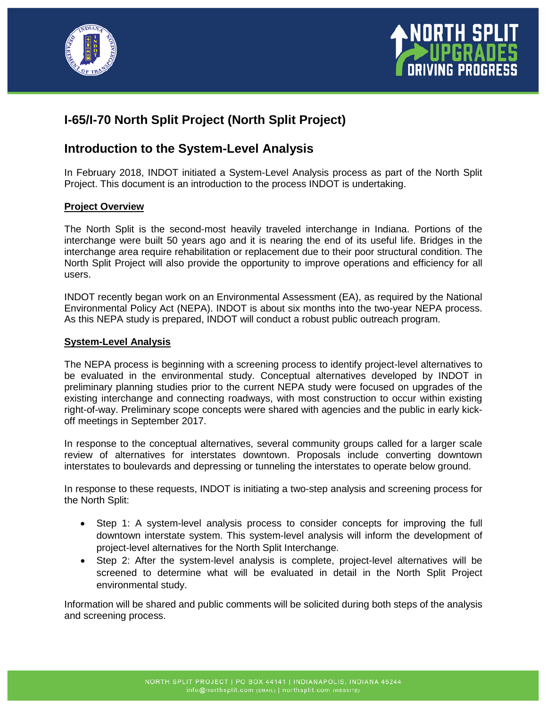



# **I-65/I-70 North Split Project (North Split Project)**

# **Introduction to the System-Level Analysis**

In February 2018, INDOT initiated a System-Level Analysis process as part of the North Split Project. This document is an introduction to the process INDOT is undertaking.

# **Project Overview**

The North Split is the second-most heavily traveled interchange in Indiana. Portions of the interchange were built 50 years ago and it is nearing the end of its useful life. Bridges in the interchange area require rehabilitation or replacement due to their poor structural condition. The North Split Project will also provide the opportunity to improve operations and efficiency for all users.

INDOT recently began work on an Environmental Assessment (EA), as required by the National Environmental Policy Act (NEPA). INDOT is about six months into the two-year NEPA process. As this NEPA study is prepared, INDOT will conduct a robust public outreach program.

# **System-Level Analysis**

The NEPA process is beginning with a screening process to identify project-level alternatives to be evaluated in the environmental study. Conceptual alternatives developed by INDOT in preliminary planning studies prior to the current NEPA study were focused on upgrades of the existing interchange and connecting roadways, with most construction to occur within existing right-of-way. Preliminary scope concepts were shared with agencies and the public in early kickoff meetings in September 2017.

In response to the conceptual alternatives, several community groups called for a larger scale review of alternatives for interstates downtown. Proposals include converting downtown interstates to boulevards and depressing or tunneling the interstates to operate below ground.

In response to these requests, INDOT is initiating a two-step analysis and screening process for the North Split:

- Step 1: A system-level analysis process to consider concepts for improving the full downtown interstate system. This system-level analysis will inform the development of project-level alternatives for the North Split Interchange.
- Step 2: After the system-level analysis is complete, project-level alternatives will be screened to determine what will be evaluated in detail in the North Split Project environmental study.

Information will be shared and public comments will be solicited during both steps of the analysis and screening process.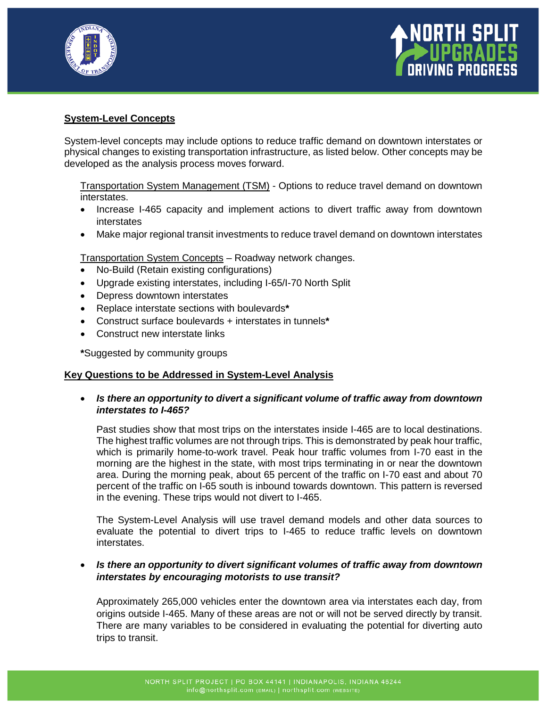



## **System-Level Concepts**

System-level concepts may include options to reduce traffic demand on downtown interstates or physical changes to existing transportation infrastructure, as listed below. Other concepts may be developed as the analysis process moves forward.

Transportation System Management (TSM) - Options to reduce travel demand on downtown interstates.

- Increase I-465 capacity and implement actions to divert traffic away from downtown interstates
- Make major regional transit investments to reduce travel demand on downtown interstates

Transportation System Concepts – Roadway network changes.

- No-Build (Retain existing configurations)
- Upgrade existing interstates, including I-65/I-70 North Split
- Depress downtown interstates
- Replace interstate sections with boulevards**\***
- Construct surface boulevards + interstates in tunnels**\***
- Construct new interstate links

**\***Suggested by community groups

#### **Key Questions to be Addressed in System-Level Analysis**

• *Is there an opportunity to divert a significant volume of traffic away from downtown interstates to I-465?*

Past studies show that most trips on the interstates inside I-465 are to local destinations. The highest traffic volumes are not through trips. This is demonstrated by peak hour traffic, which is primarily home-to-work travel. Peak hour traffic volumes from I-70 east in the morning are the highest in the state, with most trips terminating in or near the downtown area. During the morning peak, about 65 percent of the traffic on I-70 east and about 70 percent of the traffic on I-65 south is inbound towards downtown. This pattern is reversed in the evening. These trips would not divert to I-465.

The System-Level Analysis will use travel demand models and other data sources to evaluate the potential to divert trips to I-465 to reduce traffic levels on downtown interstates.

# • *Is there an opportunity to divert significant volumes of traffic away from downtown interstates by encouraging motorists to use transit?*

Approximately 265,000 vehicles enter the downtown area via interstates each day, from origins outside I-465. Many of these areas are not or will not be served directly by transit. There are many variables to be considered in evaluating the potential for diverting auto trips to transit.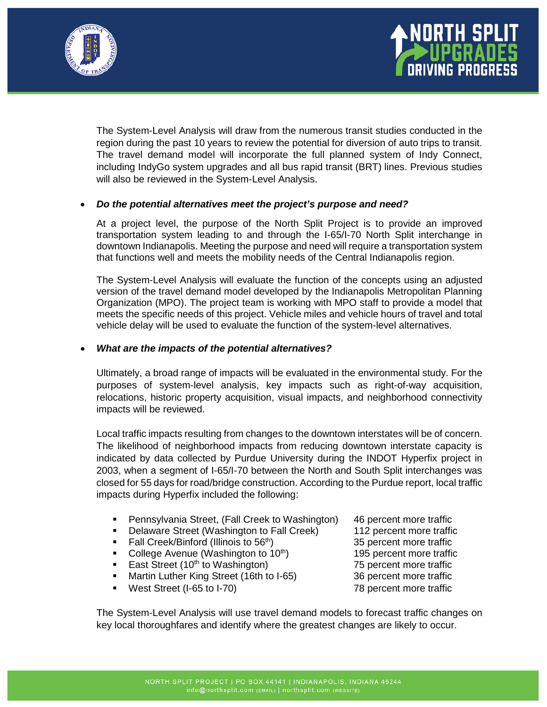



The System-Level Analysis will draw from the numerous transit studies conducted in the region during the past 10 years to review the potential for diversion of auto trips to transit. The travel demand model will incorporate the full planned system of Indy Connect, including IndyGo system upgrades and all bus rapid transit (BRT) lines. Previous studies will also be reviewed in the System-Level Analysis.

# • *Do the potential alternatives meet the project's purpose and need?*

At a project level, the purpose of the North Split Project is to provide an improved transportation system leading to and through the I-65/I-70 North Split interchange in downtown Indianapolis. Meeting the purpose and need will require a transportation system that functions well and meets the mobility needs of the Central Indianapolis region.

The System-Level Analysis will evaluate the function of the concepts using an adjusted version of the travel demand model developed by the Indianapolis Metropolitan Planning Organization (MPO). The project team is working with MPO staff to provide a model that meets the specific needs of this project. Vehicle miles and vehicle hours of travel and total vehicle delay will be used to evaluate the function of the system-level alternatives.

## • *What are the impacts of the potential alternatives?*

Ultimately, a broad range of impacts will be evaluated in the environmental study. For the purposes of system-level analysis, key impacts such as right-of-way acquisition, relocations, historic property acquisition, visual impacts, and neighborhood connectivity impacts will be reviewed.

Local traffic impacts resulting from changes to the downtown interstates will be of concern. The likelihood of neighborhood impacts from reducing downtown interstate capacity is indicated by data collected by Purdue University during the INDOT Hyperfix project in 2003, when a segment of I-65/I-70 between the North and South Split interchanges was closed for 55 days for road/bridge construction. According to the Purdue report, local traffic impacts during Hyperfix included the following:

- **Pennsylvania Street, (Fall Creek to Washington)** 46 percent more traffic
- **Delaware Street (Washington to Fall Creek)** 112 percent more traffic
- 
- College Avenue (Washington to  $10<sup>th</sup>$ ) 195 percent more traffic
- East Street (10<sup>th</sup> to Washington) 75 percent more traffic
- Martin Luther King Street (16th to I-65) 36 percent more traffic
- West Street (I-65 to I-70) 78 percent more traffic

Fall Creek/Binford (Illinois to 56<sup>th</sup>) 35 percent more traffic<br>College Avenue (Washington to 10<sup>th</sup>) 35 percent more traffic

The System-Level Analysis will use travel demand models to forecast traffic changes on key local thoroughfares and identify where the greatest changes are likely to occur.